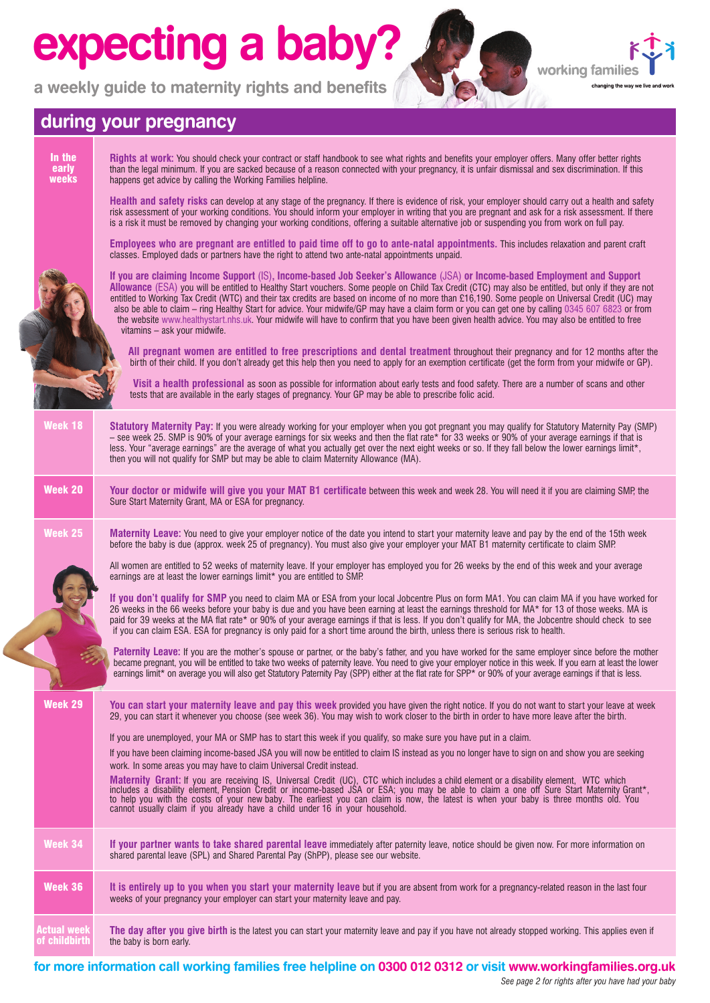## **expecting a baby?**

**a weekly guide to maternity rights and benefits**



### **during your pregnancy**

|  | In the<br>early<br>weeks            | Rights at work: You should check your contract or staff handbook to see what rights and benefits your employer offers. Many offer better rights<br>than the legal minimum. If you are sacked because of a reason connected with your pregnancy, it is unfair dismissal and sex discrimination. If this<br>happens get advice by calling the Working Families helpline.                                                                                                                                                                                                                                                                                                                                                                                                       |
|--|-------------------------------------|------------------------------------------------------------------------------------------------------------------------------------------------------------------------------------------------------------------------------------------------------------------------------------------------------------------------------------------------------------------------------------------------------------------------------------------------------------------------------------------------------------------------------------------------------------------------------------------------------------------------------------------------------------------------------------------------------------------------------------------------------------------------------|
|  |                                     | Health and safety risks can develop at any stage of the pregnancy. If there is evidence of risk, your employer should carry out a health and safety<br>risk assessment of your working conditions. You should inform your employer in writing that you are pregnant and ask for a risk assessment. If there<br>is a risk it must be removed by changing your working conditions, offering a suitable alternative job or suspending you from work on full pay.                                                                                                                                                                                                                                                                                                                |
|  |                                     | Employees who are pregnant are entitled to paid time off to go to ante-natal appointments. This includes relaxation and parent craft<br>classes. Employed dads or partners have the right to attend two ante-natal appointments unpaid.                                                                                                                                                                                                                                                                                                                                                                                                                                                                                                                                      |
|  |                                     | If you are claiming Income Support (IS), Income-based Job Seeker's Allowance (JSA) or Income-based Employment and Support<br>Allowance (ESA) you will be entitled to Healthy Start vouchers. Some people on Child Tax Credit (CTC) may also be entitled, but only if they are not<br>entitled to Working Tax Credit (WTC) and their tax credits are based on income of no more than £16,190. Some people on Universal Credit (UC) may<br>also be able to claim – ring Healthy Start for advice. Your midwife/GP may have a claim form or you can get one by calling 0345 607 6823 or from<br>the website www.healthystart.nhs.uk. Your midwife will have to confirm that you have been given health advice. You may also be entitled to free<br>vitamins - ask your midwife. |
|  |                                     | All pregnant women are entitled to free prescriptions and dental treatment throughout their pregnancy and for 12 months after the<br>birth of their child. If you don't already get this help then you need to apply for an exemption certificate (get the form from your midwife or GP).                                                                                                                                                                                                                                                                                                                                                                                                                                                                                    |
|  |                                     | Visit a health professional as soon as possible for information about early tests and food safety. There are a number of scans and other<br>tests that are available in the early stages of pregnancy. Your GP may be able to prescribe folic acid.                                                                                                                                                                                                                                                                                                                                                                                                                                                                                                                          |
|  | Week 18                             | Statutory Maternity Pay: If you were already working for your employer when you got pregnant you may qualify for Statutory Maternity Pay (SMP)<br>- see week 25. SMP is 90% of your average earnings for six weeks and then the flat rate* for 33 weeks or 90% of your average earnings if that is<br>less. Your "average earnings" are the average of what you actually get over the next eight weeks or so. If they fall below the lower earnings limit*,<br>then you will not qualify for SMP but may be able to claim Maternity Allowance (MA).                                                                                                                                                                                                                          |
|  | Week 20                             | Your doctor or midwife will give you your MAT B1 certificate between this week and week 28. You will need it if you are claiming SMP, the<br>Sure Start Maternity Grant, MA or ESA for pregnancy.                                                                                                                                                                                                                                                                                                                                                                                                                                                                                                                                                                            |
|  | Week 25                             | <b>Maternity Leave:</b> You need to give your employer notice of the date you intend to start your maternity leave and pay by the end of the 15th week<br>before the baby is due (approx. week 25 of pregnancy). You must also give your employer your MAT B1 maternity certificate to claim SMP.                                                                                                                                                                                                                                                                                                                                                                                                                                                                            |
|  |                                     | All women are entitled to 52 weeks of maternity leave. If your employer has employed you for 26 weeks by the end of this week and your average<br>earnings are at least the lower earnings limit* you are entitled to SMP.                                                                                                                                                                                                                                                                                                                                                                                                                                                                                                                                                   |
|  |                                     | If you don't qualify for SMP you need to claim MA or ESA from your local Jobcentre Plus on form MA1. You can claim MA if you have worked for<br>26 weeks in the 66 weeks before your baby is due and you have been earning at least the earnings threshold for MA* for 13 of those weeks. MA is<br>paid for 39 weeks at the MA flat rate* or 90% of your average earnings if that is less. If you don't qualify for MA, the Jobcentre should check to see<br>if you can claim ESA. ESA for pregnancy is only paid for a short time around the birth, unless there is serious risk to health.                                                                                                                                                                                 |
|  |                                     | Paternity Leave: If you are the mother's spouse or partner, or the baby's father, and you have worked for the same employer since before the mother<br>became pregnant, you will be entitled to take two weeks of paternity leave. You need to give your employer notice in this week. If you earn at least the lower<br>earnings limit* on average you will also get Statutory Paternity Pay (SPP) either at the flat rate for SPP* or 90% of your average earnings if that is less.                                                                                                                                                                                                                                                                                        |
|  | Week 29                             | You can start your maternity leave and pay this week provided you have given the right notice. If you do not want to start your leave at week<br>29, you can start it whenever you choose (see week 36). You may wish to work closer to the birth in order to have more leave after the birth.                                                                                                                                                                                                                                                                                                                                                                                                                                                                               |
|  |                                     | If you are unemployed, your MA or SMP has to start this week if you qualify, so make sure you have put in a claim.<br>If you have been claiming income-based JSA you will now be entitled to claim IS instead as you no longer have to sign on and show you are seeking                                                                                                                                                                                                                                                                                                                                                                                                                                                                                                      |
|  |                                     | work. In some areas you may have to claim Universal Credit instead.                                                                                                                                                                                                                                                                                                                                                                                                                                                                                                                                                                                                                                                                                                          |
|  |                                     | <b>Maternity Grant:</b> If you are receiving IS, Universal Credit (UC), CTC which includes a child element or a disability element, WTC which includes a disability element, Pension Credit or income-based JSA or ESA; you may be                                                                                                                                                                                                                                                                                                                                                                                                                                                                                                                                           |
|  | Week 34                             | If your partner wants to take shared parental leave immediately after paternity leave, notice should be given now. For more information on<br>shared parental leave (SPL) and Shared Parental Pay (ShPP), please see our website.                                                                                                                                                                                                                                                                                                                                                                                                                                                                                                                                            |
|  | Week 36                             | It is entirely up to you when you start your maternity leave but if you are absent from work for a pregnancy-related reason in the last four<br>weeks of your pregnancy your employer can start your maternity leave and pay.                                                                                                                                                                                                                                                                                                                                                                                                                                                                                                                                                |
|  | <b>Actual week</b><br>of childbirth | The day after you give birth is the latest you can start your maternity leave and pay if you have not already stopped working. This applies even if<br>the baby is born early.                                                                                                                                                                                                                                                                                                                                                                                                                                                                                                                                                                                               |